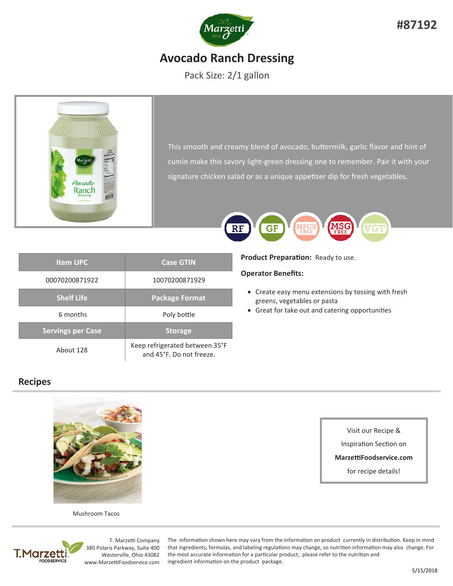

# **Avocado Ranch Dressing**

Pack Size: 2/1 gallon



This smooth and creamy blend of avocado, buttermilk, garlic flavor and hint of cumin make this savory light‐green dressing one to remember. Pair it with your signature chicken salad or as a unique appetizer dip for fresh vegetables.

| <b>Item UPC</b>          | <b>Case GTIN</b>                                           |
|--------------------------|------------------------------------------------------------|
| 00070200871922           | 10070200871929                                             |
| <b>Shelf Life</b>        | <b>Package Format</b>                                      |
| 6 months                 | Poly bottle                                                |
| <b>Servings per Case</b> | <b>Storage</b>                                             |
| About 128                | Keep refrigerated between 35°F<br>and 45°F. Do not freeze. |

## **Recipes**



Mushroom Tacos



T. Marzetti Company 380 Polaris Parkway, Suite 400 Westerville, Ohio 43082 www.MarzeƫFoodservice.com

The information shown here may vary from the information on product currently in distribution. Keep in mind that ingredients, formulas, and labeling regulations may change, so nutrition information may also change. For the most accurate information for a particular product, please refer to the nutrition and ingredient information on the product package.



**Product Preparation:** Ready to use.

### **Operator Benefits:**

- Create easy menu extensions by tossing with fresh greens, vegetables or pasta
- Great for take out and catering opportunities

Visit our Recipe &

Inspiration Section on

**MarzeƫFoodservice.com** 

for recipe details!